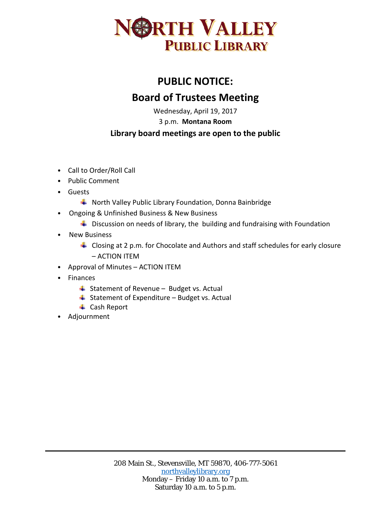

## **PUBLIC NOTICE: Board of Trustees Meeting**

Wednesday, April 19, 2017

3 p.m. **Montana Room**

## **Library board meetings are open to the public**

- Call to Order/Roll Call
- Public Comment
- Guests
	- **WADDER HIM WALLEY Public Library Foundation, Donna Bainbridge**
- Ongoing & Unfinished Business & New Business
	- $\ddot{\phantom{1}}$  Discussion on needs of library, the building and fundraising with Foundation
- New Business
	- $\ddot{\phantom{1}}$  Closing at 2 p.m. for Chocolate and Authors and staff schedules for early closure – ACTION ITEM
- Approval of Minutes ACTION ITEM
- Finances
	- $\ddot{ }$  Statement of Revenue Budget vs. Actual
	- $\ddot{ }$  Statement of Expenditure Budget vs. Actual
	- **↓** Cash Report
- Adjournment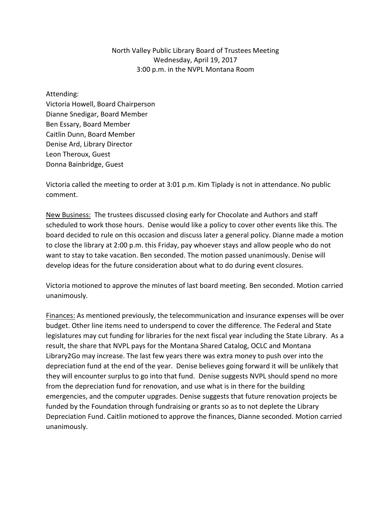## North Valley Public Library Board of Trustees Meeting Wednesday, April 19, 2017 3:00 p.m. in the NVPL Montana Room

Attending: Victoria Howell, Board Chairperson Dianne Snedigar, Board Member Ben Essary, Board Member Caitlin Dunn, Board Member Denise Ard, Library Director Leon Theroux, Guest Donna Bainbridge, Guest

Victoria called the meeting to order at 3:01 p.m. Kim Tiplady is not in attendance. No public comment.

New Business: The trustees discussed closing early for Chocolate and Authors and staff scheduled to work those hours. Denise would like a policy to cover other events like this. The board decided to rule on this occasion and discuss later a general policy. Dianne made a motion to close the library at 2:00 p.m. this Friday, pay whoever stays and allow people who do not want to stay to take vacation. Ben seconded. The motion passed unanimously. Denise will develop ideas for the future consideration about what to do during event closures.

Victoria motioned to approve the minutes of last board meeting. Ben seconded. Motion carried unanimously.

Finances: As mentioned previously, the telecommunication and insurance expenses will be over budget. Other line items need to underspend to cover the difference. The Federal and State legislatures may cut funding for libraries for the next fiscal year including the State Library. As a result, the share that NVPL pays for the Montana Shared Catalog, OCLC and Montana Library2Go may increase. The last few years there was extra money to push over into the depreciation fund at the end of the year. Denise believes going forward it will be unlikely that they will encounter surplus to go into that fund. Denise suggests NVPL should spend no more from the depreciation fund for renovation, and use what is in there for the building emergencies, and the computer upgrades. Denise suggests that future renovation projects be funded by the Foundation through fundraising or grants so as to not deplete the Library Depreciation Fund. Caitlin motioned to approve the finances, Dianne seconded. Motion carried unanimously.